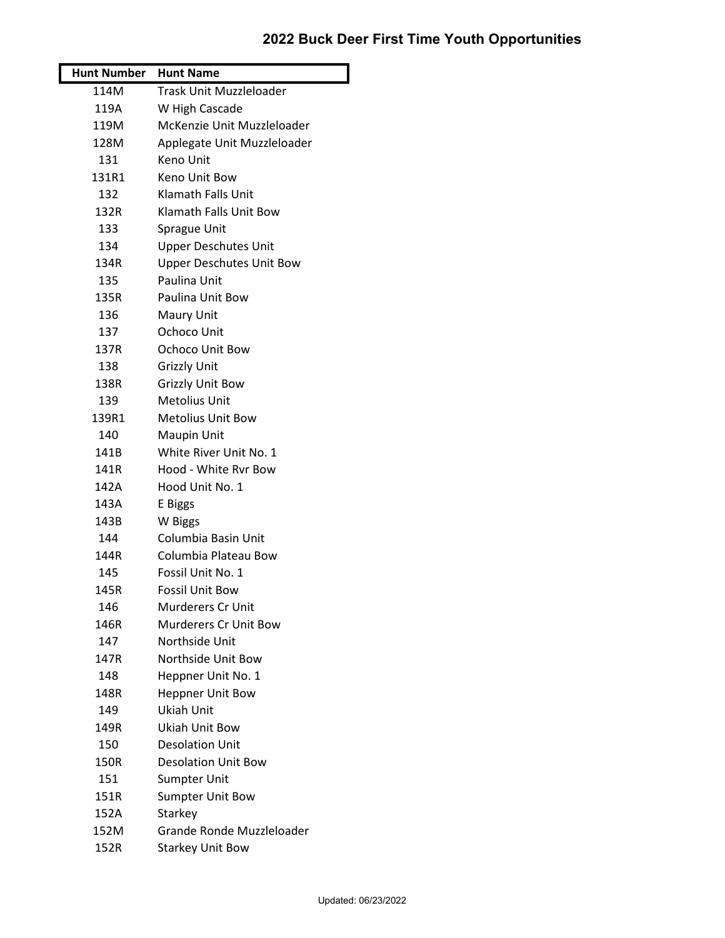## **2022 Buck Deer First Time Youth Opportunities**

| Hunt Number Hunt Name |                                 |
|-----------------------|---------------------------------|
| 114M                  | Trask Unit Muzzleloader         |
| 119A                  | W High Cascade                  |
| 119M                  | McKenzie Unit Muzzleloader      |
| 128M                  | Applegate Unit Muzzleloader     |
| 131                   | Keno Unit                       |
| 131R1                 | Keno Unit Bow                   |
| 132                   | Klamath Falls Unit              |
| 132R                  | Klamath Falls Unit Bow          |
| 133                   | Sprague Unit                    |
| 134                   | <b>Upper Deschutes Unit</b>     |
| 134R                  | <b>Upper Deschutes Unit Bow</b> |
| 135                   | Paulina Unit                    |
| 135R                  | Paulina Unit Bow                |
| 136                   | Maury Unit                      |
| 137                   | Ochoco Unit                     |
| 137R                  | Ochoco Unit Bow                 |
| 138                   | <b>Grizzly Unit</b>             |
| 138R                  | <b>Grizzly Unit Bow</b>         |
| 139                   | <b>Metolius Unit</b>            |
| 139R1                 | <b>Metolius Unit Bow</b>        |
| 140                   | Maupin Unit                     |
| 141B                  | White River Unit No. 1          |
| 141R                  | Hood - White Rvr Bow            |
| 142A                  | Hood Unit No. 1                 |
| 143A                  | E Biggs                         |
| 143B                  | W Biggs                         |
| 144                   | Columbia Basin Unit             |
| 144R                  | Columbia Plateau Bow            |
| 145                   | Fossil Unit No. 1               |
| 145R                  | Fossil Unit Bow                 |
| 146                   | <b>Murderers Cr Unit</b>        |
| 146R                  | <b>Murderers Cr Unit Bow</b>    |
| 147                   | Northside Unit                  |
| 147R                  | Northside Unit Bow              |
| 148                   | Heppner Unit No. 1              |
| 148R                  | <b>Heppner Unit Bow</b>         |
| 149                   | Ukiah Unit                      |
| 149R                  | Ukiah Unit Bow                  |
| 150                   | <b>Desolation Unit</b>          |
| 150R                  | <b>Desolation Unit Bow</b>      |
| 151                   | <b>Sumpter Unit</b>             |
| 151R                  | <b>Sumpter Unit Bow</b>         |
| 152A                  | Starkey                         |
| 152M                  | Grande Ronde Muzzleloader       |
| 152R                  | <b>Starkey Unit Bow</b>         |